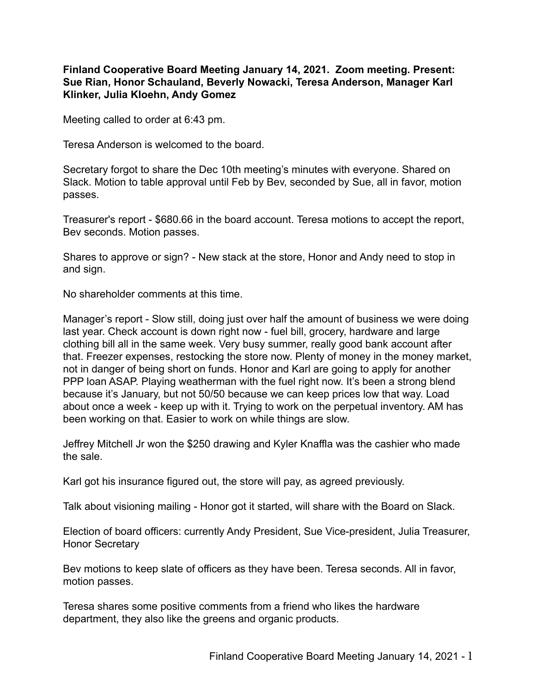**Finland Cooperative Board Meeting January 14, 2021. Zoom meeting. Present: Sue Rian, Honor Schauland, Beverly Nowacki, Teresa Anderson, Manager Karl Klinker, Julia Kloehn, Andy Gomez**

Meeting called to order at 6:43 pm.

Teresa Anderson is welcomed to the board.

Secretary forgot to share the Dec 10th meeting's minutes with everyone. Shared on Slack. Motion to table approval until Feb by Bev, seconded by Sue, all in favor, motion passes.

Treasurer's report - \$680.66 in the board account. Teresa motions to accept the report, Bev seconds. Motion passes.

Shares to approve or sign? - New stack at the store, Honor and Andy need to stop in and sign.

No shareholder comments at this time.

Manager's report - Slow still, doing just over half the amount of business we were doing last year. Check account is down right now - fuel bill, grocery, hardware and large clothing bill all in the same week. Very busy summer, really good bank account after that. Freezer expenses, restocking the store now. Plenty of money in the money market, not in danger of being short on funds. Honor and Karl are going to apply for another PPP loan ASAP. Playing weatherman with the fuel right now. It's been a strong blend because it's January, but not 50/50 because we can keep prices low that way. Load about once a week - keep up with it. Trying to work on the perpetual inventory. AM has been working on that. Easier to work on while things are slow.

Jeffrey Mitchell Jr won the \$250 drawing and Kyler Knaffla was the cashier who made the sale.

Karl got his insurance figured out, the store will pay, as agreed previously.

Talk about visioning mailing - Honor got it started, will share with the Board on Slack.

Election of board officers: currently Andy President, Sue Vice-president, Julia Treasurer, Honor Secretary

Bev motions to keep slate of officers as they have been. Teresa seconds. All in favor, motion passes.

Teresa shares some positive comments from a friend who likes the hardware department, they also like the greens and organic products.